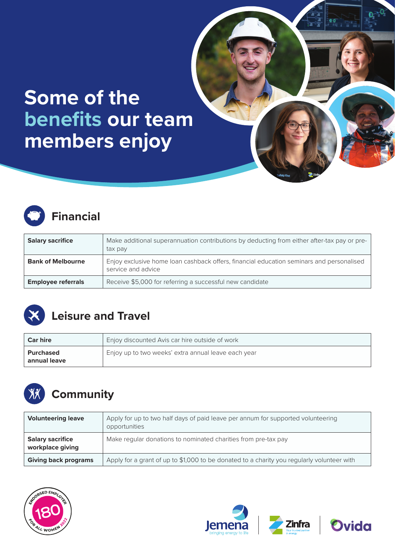# **Some of the benefits our team members enjoy**



#### **Financial**

| <b>Salary sacrifice</b>   | Make additional superannuation contributions by deducting from either after-tax pay or pre-<br>tax pay         |
|---------------------------|----------------------------------------------------------------------------------------------------------------|
| <b>Bank of Melbourne</b>  | Enjoy exclusive home loan cashback offers, financial education seminars and personalised<br>service and advice |
| <b>Employee referrals</b> | Receive \$5,000 for referring a successful new candidate                                                       |



#### **Leisure and Travel**

| <b>Car hire</b>           | Enjoy discounted Avis car hire outside of work      |
|---------------------------|-----------------------------------------------------|
| Purchased<br>annual leave | Enjoy up to two weeks' extra annual leave each year |



### **XX** Community

| <b>Volunteering leave</b>                   | Apply for up to two half days of paid leave per annum for supported volunteering<br>opportunities |
|---------------------------------------------|---------------------------------------------------------------------------------------------------|
| <b>Salary sacrifice</b><br>workplace giving | Make regular donations to nominated charities from pre-tax pay                                    |
| <b>Giving back programs</b>                 | Apply for a grant of up to \$1,000 to be donated to a charity you regularly volunteer with        |